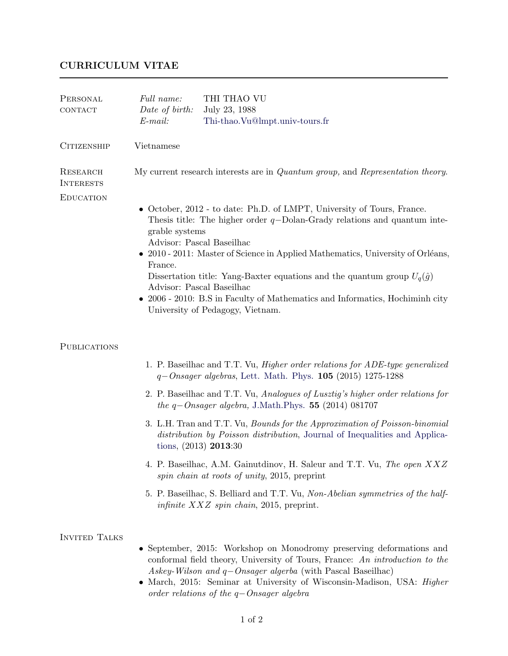## CURRICULUM VITAE

| PERSONAL<br>CONTACT          | Full name:<br>Date of birth:<br>$E$ -mail:                                                                                                                                                                                                                                                                                                                                                                                                                                                                                            | THI THAO VU<br>July 23, 1988<br>Thi-thao.Vu@lmpt.univ-tours.fr                                                                                                                                                                                                                                                                                |
|------------------------------|---------------------------------------------------------------------------------------------------------------------------------------------------------------------------------------------------------------------------------------------------------------------------------------------------------------------------------------------------------------------------------------------------------------------------------------------------------------------------------------------------------------------------------------|-----------------------------------------------------------------------------------------------------------------------------------------------------------------------------------------------------------------------------------------------------------------------------------------------------------------------------------------------|
| <b>CITIZENSHIP</b>           | Vietnamese                                                                                                                                                                                                                                                                                                                                                                                                                                                                                                                            |                                                                                                                                                                                                                                                                                                                                               |
| RESEARCH<br><b>INTERESTS</b> | My current research interests are in Quantum group, and Representation theory.                                                                                                                                                                                                                                                                                                                                                                                                                                                        |                                                                                                                                                                                                                                                                                                                                               |
| <b>EDUCATION</b>             | • October, 2012 - to date: Ph.D. of LMPT, University of Tours, France.<br>Thesis title: The higher order $q$ -Dolan-Grady relations and quantum inte-<br>grable systems<br>Advisor: Pascal Baseilhac<br>• 2010 - 2011: Master of Science in Applied Mathematics, University of Orléans,<br>France.<br>Dissertation title: Yang-Baxter equations and the quantum group $U_q(\hat{g})$<br>Advisor: Pascal Baseilhac<br>• 2006 - 2010: B.S in Faculty of Mathematics and Informatics, Hochiminh city<br>University of Pedagogy, Vietnam. |                                                                                                                                                                                                                                                                                                                                               |
| PUBLICATIONS                 |                                                                                                                                                                                                                                                                                                                                                                                                                                                                                                                                       |                                                                                                                                                                                                                                                                                                                                               |
|                              |                                                                                                                                                                                                                                                                                                                                                                                                                                                                                                                                       | 1. P. Baseilhac and T.T. Vu, <i>Higher order relations for ADE-type generalized</i><br>$q-Onsager algebras$ , Lett. Math. Phys. 105 (2015) 1275-1288                                                                                                                                                                                          |
|                              |                                                                                                                                                                                                                                                                                                                                                                                                                                                                                                                                       | 2. P. Baseilhac and T.T. Vu, Analogues of Lusztig's higher order relations for<br>the $q$ –Onsager algebra, J.Math.Phys. 55 (2014) 081707                                                                                                                                                                                                     |
|                              |                                                                                                                                                                                                                                                                                                                                                                                                                                                                                                                                       | 3. L.H. Tran and T.T. Vu, <i>Bounds for the Approximation of Poisson-binomial</i><br>distribution by Poisson distribution, Journal of Inequalities and Applica-<br>tions, $(2013)$ <b>2013</b> :30                                                                                                                                            |
|                              |                                                                                                                                                                                                                                                                                                                                                                                                                                                                                                                                       | 4. P. Baseilhac, A.M. Gainutdinov, H. Saleur and T.T. Vu, The open XXZ<br>spin chain at roots of unity, 2015, preprint                                                                                                                                                                                                                        |
|                              |                                                                                                                                                                                                                                                                                                                                                                                                                                                                                                                                       | 5. P. Baseilhac, S. Belliard and T.T. Vu, Non-Abelian symmetries of the half-<br><i>infinite <math>XXZ</math> spin chain</i> , 2015, preprint.                                                                                                                                                                                                |
| <b>INVITED TALKS</b>         |                                                                                                                                                                                                                                                                                                                                                                                                                                                                                                                                       | • September, 2015: Workshop on Monodromy preserving deformations and<br>conformal field theory, University of Tours, France: An introduction to the<br>Askey-Wilson and $q$ -Onsager algerba (with Pascal Baseilhac)<br>• March, 2015: Seminar at University of Wisconsin-Madison, USA: Higher<br>order relations of the $q$ -Onsager algebra |